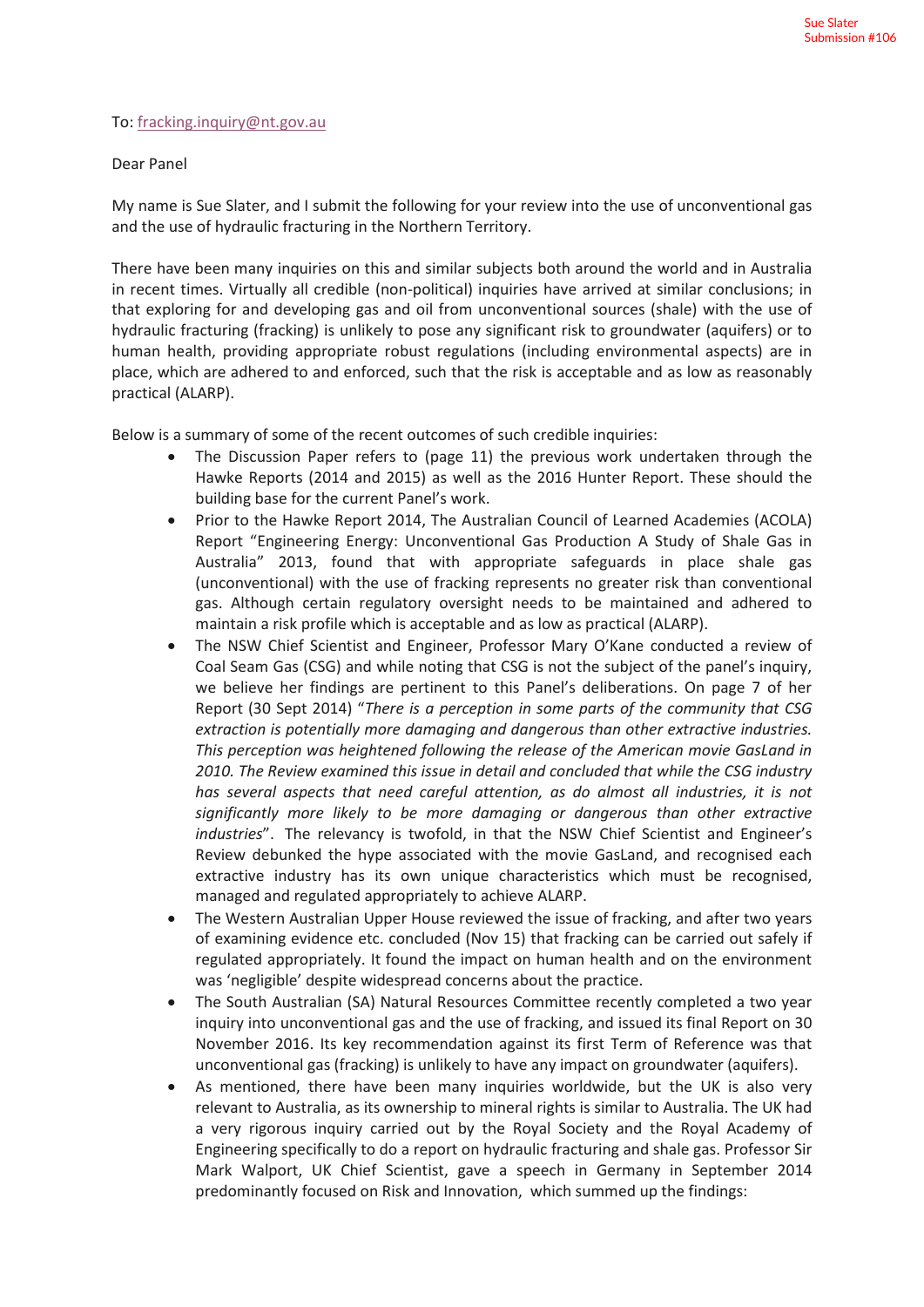### To: fracking.inquiry@nt.gov.au

### Dear Panel

My name is Sue Slater, and I submit the following for your review into the use of unconventional gas and the use of hydraulic fracturing in the Northern Territory.

There have been many inquiries on this and similar subjects both around the world and in Australia in recent times. Virtually all credible (non-political) inquiries have arrived at similar conclusions; in that exploring for and developing gas and oil from unconventional sources (shale) with the use of hydraulic fracturing (fracking) is unlikely to pose any significant risk to groundwater (aquifers) or to human health, providing appropriate robust regulations (including environmental aspects) are in place, which are adhered to and enforced, such that the risk is acceptable and as low as reasonably practical (ALARP).

Below is a summary of some of the recent outcomes of such credible inquiries:

- The Discussion Paper refers to (page 11) the previous work undertaken through the Hawke Reports (2014 and 2015) as well as the 2016 Hunter Report. These should the building base for the current Panel's work.
- Prior to the Hawke Report 2014, The Australian Council of Learned Academies (ACOLA) Report "Engineering Energy: Unconventional Gas Production A Study of Shale Gas in Australia" 2013, found that with appropriate safeguards in place shale gas (unconventional) with the use of fracking represents no greater risk than conventional gas. Although certain regulatory oversight needs to be maintained and adhered to maintain a risk profile which is acceptable and as low as practical (ALARP).
- The NSW Chief Scientist and Engineer, Professor Mary O'Kane conducted a review of Coal Seam Gas (CSG) and while noting that CSG is not the subject of the panel's inquiry, we believe her findings are pertinent to this Panel's deliberations. On page 7 of her Report (30 Sept 2014) "*There is a perception in some parts of the community that CSG extraction is potentially more damaging and dangerous than other extractive industries. This perception was heightened following the release of the American movie GasLand in 2010. The Review examined this issue in detail and concluded that while the CSG industry has several aspects that need careful attention, as do almost all industries, it is not significantly more likely to be more damaging or dangerous than other extractive industries*". The relevancy is twofold, in that the NSW Chief Scientist and Engineer's Review debunked the hype associated with the movie GasLand, and recognised each extractive industry has its own unique characteristics which must be recognised, managed and regulated appropriately to achieve ALARP.
- The Western Australian Upper House reviewed the issue of fracking, and after two years of examining evidence etc. concluded (Nov 15) that fracking can be carried out safely if regulated appropriately. It found the impact on human health and on the environment was 'negligible' despite widespread concerns about the practice.
- The South Australian (SA) Natural Resources Committee recently completed a two year inquiry into unconventional gas and the use of fracking, and issued its final Report on 30 November 2016. Its key recommendation against its first Term of Reference was that unconventional gas (fracking) is unlikely to have any impact on groundwater (aquifers).
- As mentioned, there have been many inquiries worldwide, but the UK is also very relevant to Australia, as its ownership to mineral rights is similar to Australia. The UK had a very rigorous inquiry carried out by the Royal Society and the Royal Academy of Engineering specifically to do a report on hydraulic fracturing and shale gas. Professor Sir Mark Walport, UK Chief Scientist, gave a speech in Germany in September 2014 predominantly focused on Risk and Innovation, which summed up the findings: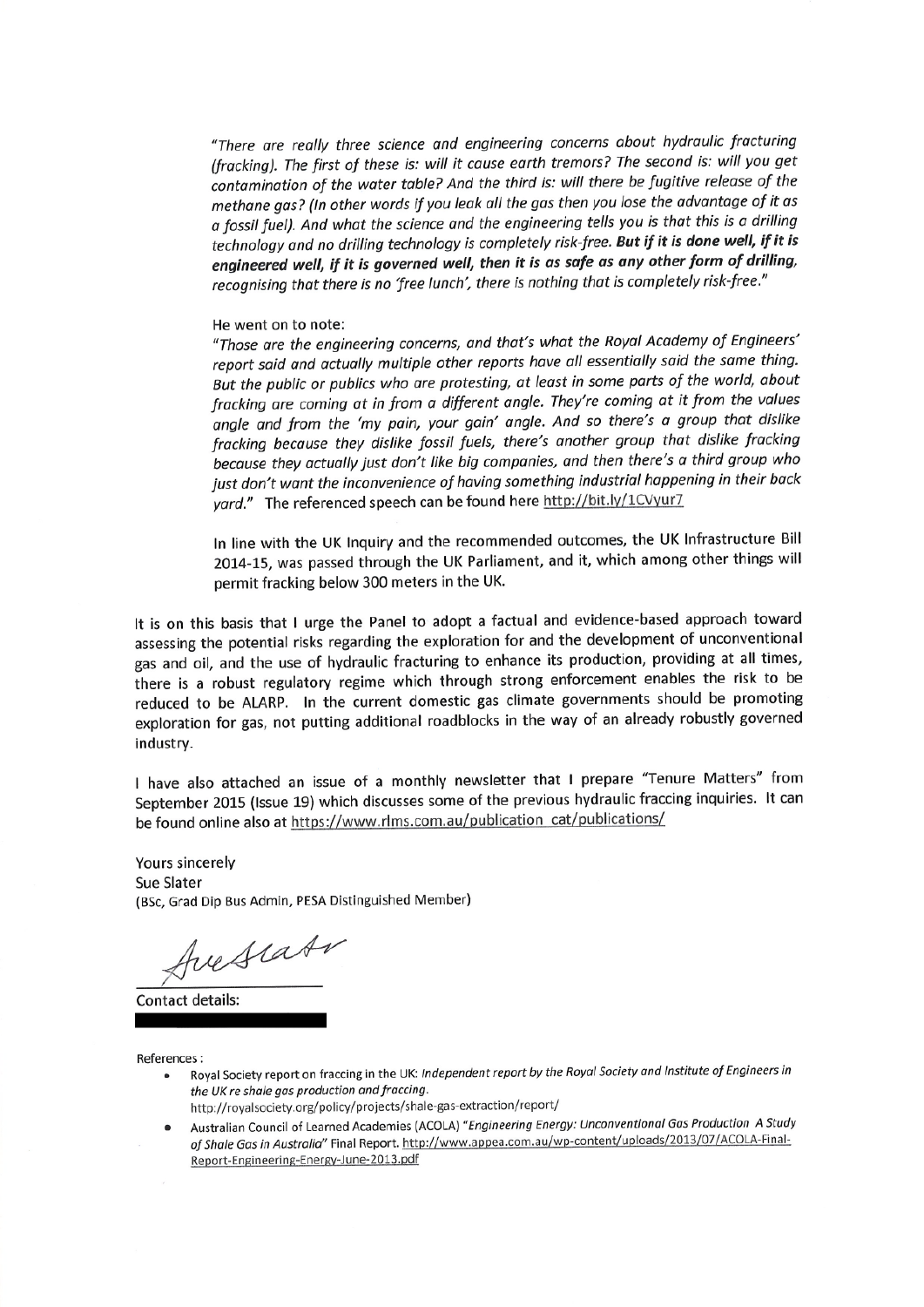"There are really three science and engineering concerns about hydraulic fracturing (fracking). The first of these is: will it cause earth tremors? The second is: will you get contamination of the water table? And the third is: will there be fugitive release of the methane gas? (In other words if you leak all the gas then you lose the advantage of it as a fossil fuel). And what the science and the engineering tells you is that this is a drilling technology and no drilling technology is completely risk-free. But if it is done well, if it is engineered well, if it is governed well, then it is as safe as any other form of drilling, recognising that there is no 'free lunch', there is nothing that is completely risk-free."

#### He went on to note:

"Those are the engineering concerns, and that's what the Royal Academy of Engineers' report said and actually multiple other reports have all essentially said the same thing. But the public or publics who are protesting, at least in some parts of the world, about fracking are coming at in from a different angle. They're coming at it from the values angle and from the 'my pain, your gain' angle. And so there's a group that dislike fracking because they dislike fossil fuels, there's another group that dislike fracking because they actually just don't like big companies, and then there's a third group who just don't want the inconvenience of having something industrial happening in their back yard." The referenced speech can be found here http://bit.ly/1CVyur7

In line with the UK Inquiry and the recommended outcomes, the UK Infrastructure Bill 2014-15, was passed through the UK Parliament, and it, which among other things will permit fracking below 300 meters in the UK.

It is on this basis that I urge the Panel to adopt a factual and evidence-based approach toward assessing the potential risks regarding the exploration for and the development of unconventional gas and oil, and the use of hydraulic fracturing to enhance its production, providing at all times, there is a robust regulatory regime which through strong enforcement enables the risk to be reduced to be ALARP. In the current domestic gas climate governments should be promoting exploration for gas, not putting additional roadblocks in the way of an already robustly governed industry.

I have also attached an issue of a monthly newsletter that I prepare "Tenure Matters" from September 2015 (Issue 19) which discusses some of the previous hydraulic fraccing inquiries. It can be found online also at https://www.rlms.com.au/publication\_cat/publications/

Yours sincerely Sue Slater (BSc, Grad Dip Bus Admin, PESA Distinguished Member)

Juestate

Contact details:

References:

- Royal Society report on fraccing in the UK: Independent report by the Royal Society and Institute of Engineers in the UK re shale gas production and fraccing. http://royalsociety.org/policy/projects/shale-gas-extraction/report/
- Australian Council of Learned Academies (ACOLA) "Engineering Energy: Unconventional Gas Production A Study  $\bullet$ of Shale Gas in Australia" Final Report. http://www.appea.com.au/wp-content/uploads/2013/07/ACOLA-Final-Report-Engineering-Energy-June-2013.pdf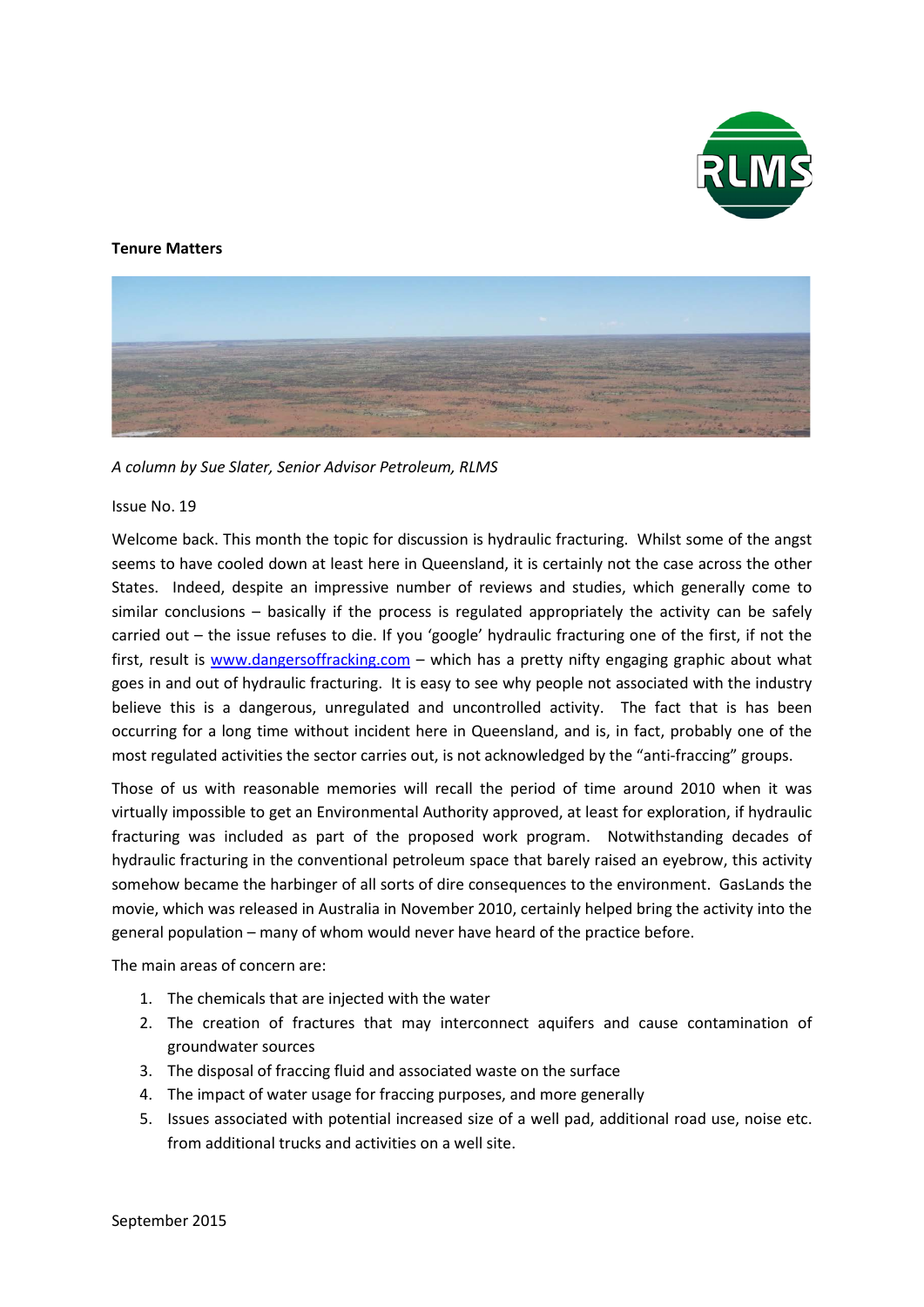

### **Tenure Matters**



*A column by Sue Slater, Senior Advisor Petroleum, RLMS*

### Issue No. 19

Welcome back. This month the topic for discussion is hydraulic fracturing. Whilst some of the angst seems to have cooled down at least here in Queensland, it is certainly not the case across the other States. Indeed, despite an impressive number of reviews and studies, which generally come to similar conclusions – basically if the process is regulated appropriately the activity can be safely carried out – the issue refuses to die. If you 'google' hydraulic fracturing one of the first, if not the first, result is www.dangersoffracking.com – which has a pretty nifty engaging graphic about what goes in and out of hydraulic fracturing. It is easy to see why people not associated with the industry believe this is a dangerous, unregulated and uncontrolled activity. The fact that is has been occurring for a long time without incident here in Queensland, and is, in fact, probably one of the most regulated activities the sector carries out, is not acknowledged by the "anti-fraccing" groups.

Those of us with reasonable memories will recall the period of time around 2010 when it was virtually impossible to get an Environmental Authority approved, at least for exploration, if hydraulic fracturing was included as part of the proposed work program. Notwithstanding decades of hydraulic fracturing in the conventional petroleum space that barely raised an eyebrow, this activity somehow became the harbinger of all sorts of dire consequences to the environment. GasLands the movie, which was released in Australia in November 2010, certainly helped bring the activity into the general population – many of whom would never have heard of the practice before.

The main areas of concern are:

- 1. The chemicals that are injected with the water
- 2. The creation of fractures that may interconnect aquifers and cause contamination of groundwater sources
- 3. The disposal of fraccing fluid and associated waste on the surface
- 4. The impact of water usage for fraccing purposes, and more generally
- 5. Issues associated with potential increased size of a well pad, additional road use, noise etc. from additional trucks and activities on a well site.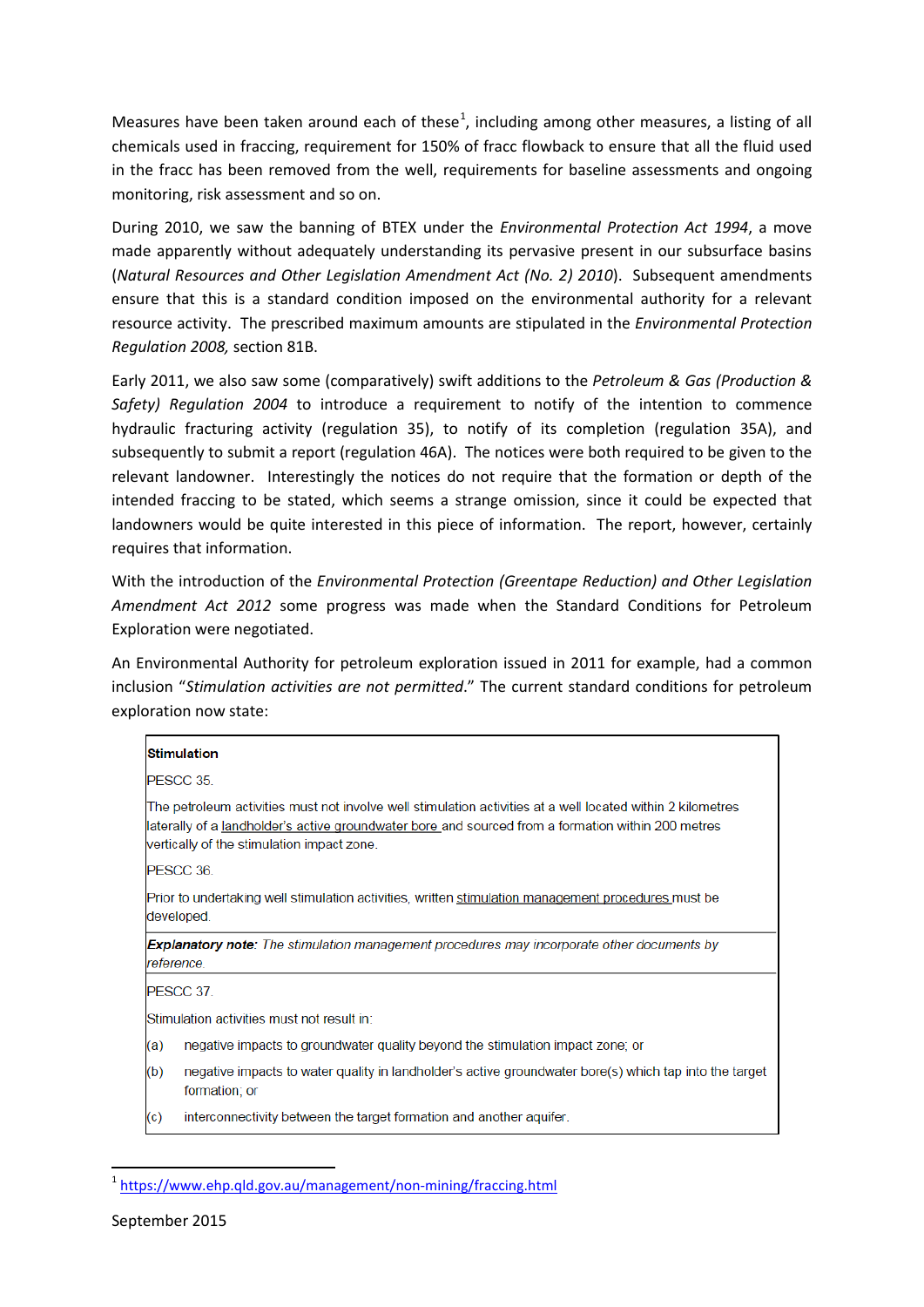Measures have been taken around each of these<sup>1</sup>, including among other measures, a listing of all chemicals used in fraccing, requirement for 150% of fracc flowback to ensure that all the fluid used in the fracc has been removed from the well, requirements for baseline assessments and ongoing monitoring, risk assessment and so on.

During 2010, we saw the banning of BTEX under the *Environmental Protection Act 1994*, a move made apparently without adequately understanding its pervasive present in our subsurface basins (*Natural Resources and Other Legislation Amendment Act (No. 2) 2010*). Subsequent amendments ensure that this is a standard condition imposed on the environmental authority for a relevant resource activity. The prescribed maximum amounts are stipulated in the *Environmental Protection Regulation 2008,* section 81B.

Early 2011, we also saw some (comparatively) swift additions to the *Petroleum & Gas (Production & Safety) Regulation 2004* to introduce a requirement to notify of the intention to commence hydraulic fracturing activity (regulation 35), to notify of its completion (regulation 35A), and subsequently to submit a report (regulation 46A). The notices were both required to be given to the relevant landowner. Interestingly the notices do not require that the formation or depth of the intended fraccing to be stated, which seems a strange omission, since it could be expected that landowners would be quite interested in this piece of information. The report, however, certainly requires that information.

With the introduction of the *Environmental Protection (Greentape Reduction) and Other Legislation Amendment Act 2012* some progress was made when the Standard Conditions for Petroleum Exploration were negotiated.

An Environmental Authority for petroleum exploration issued in 2011 for example, had a common inclusion "*Stimulation activities are not permitted*." The current standard conditions for petroleum exploration now state:

|                                                                                                                 | <b>Stimulation</b>                                                                                                                                                                                                                                              |
|-----------------------------------------------------------------------------------------------------------------|-----------------------------------------------------------------------------------------------------------------------------------------------------------------------------------------------------------------------------------------------------------------|
|                                                                                                                 | PESCC 35.                                                                                                                                                                                                                                                       |
|                                                                                                                 | The petroleum activities must not involve well stimulation activities at a well located within 2 kilometres<br>laterally of a landholder's active groundwater bore and sourced from a formation within 200 metres<br>vertically of the stimulation impact zone. |
|                                                                                                                 | PESCC 36.                                                                                                                                                                                                                                                       |
|                                                                                                                 | Prior to undertaking well stimulation activities, written stimulation management procedures must be<br>developed.                                                                                                                                               |
| <b>Explanatory note:</b> The stimulation management procedures may incorporate other documents by<br>reference. |                                                                                                                                                                                                                                                                 |
|                                                                                                                 | PESCC 37.                                                                                                                                                                                                                                                       |
| Stimulation activities must not result in:                                                                      |                                                                                                                                                                                                                                                                 |
| (a)                                                                                                             | negative impacts to groundwater quality beyond the stimulation impact zone; or                                                                                                                                                                                  |
| (b)                                                                                                             | negative impacts to water quality in landholder's active groundwater bore(s) which tap into the target<br>formation; or                                                                                                                                         |
|                                                                                                                 | . The contract of the contract of the contract of the contract of the contract of the contract of the contract of the contract of the contract of the contract of the contract of the contract of the contract of the contrac                                   |

interconnectivity between the target formation and another aquifer. (c)

<sup>&</sup>lt;sup>1</sup> https://www.ehp.gld.gov.au/management/non-mining/fraccing.html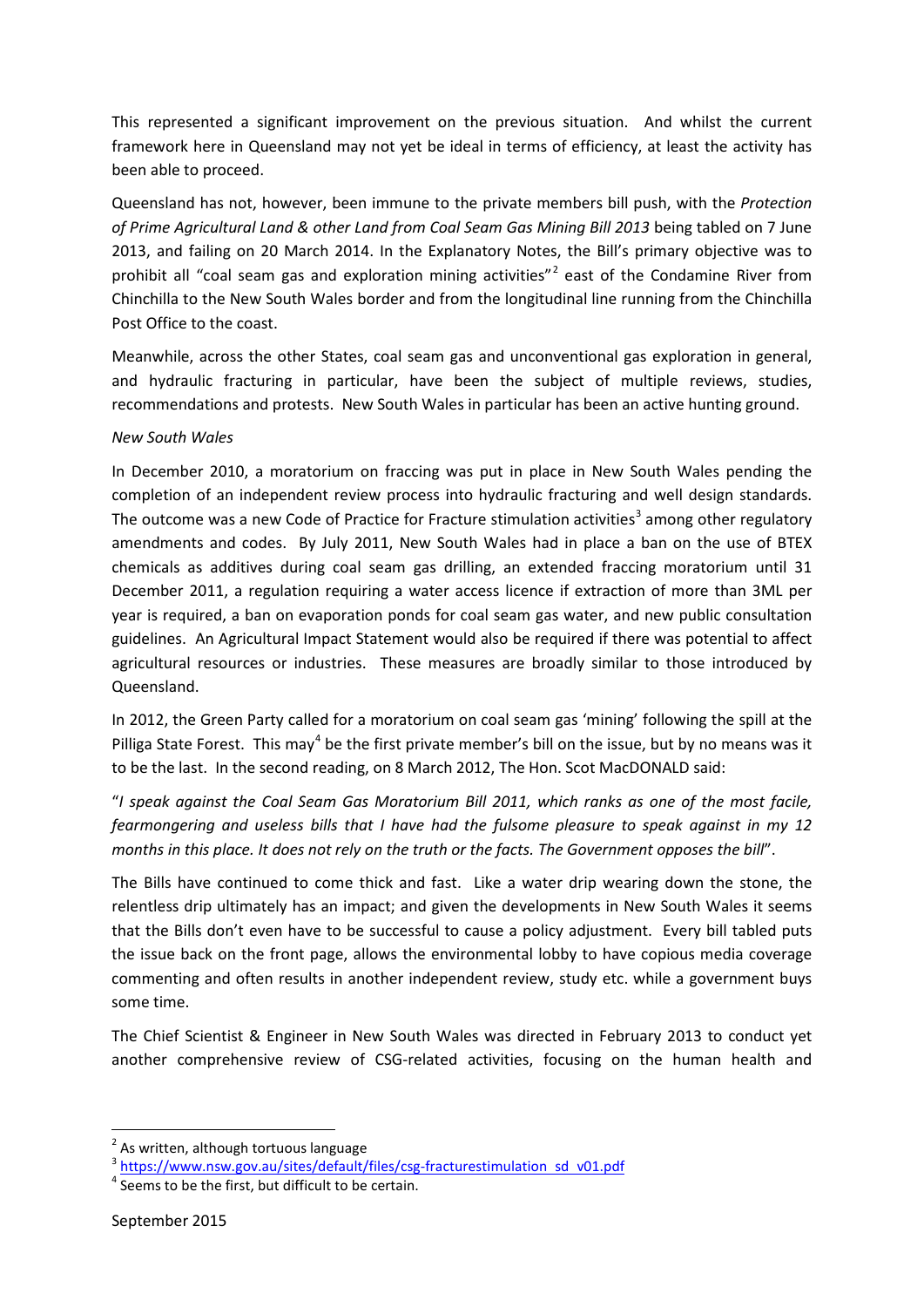This represented a significant improvement on the previous situation. And whilst the current framework here in Queensland may not yet be ideal in terms of efficiency, at least the activity has been able to proceed.

Queensland has not, however, been immune to the private members bill push, with the *Protection of Prime Agricultural Land & other Land from Coal Seam Gas Mining Bill 2013* being tabled on 7 June 2013, and failing on 20 March 2014. In the Explanatory Notes, the Bill's primary objective was to prohibit all "coal seam gas and exploration mining activities"<sup>2</sup> east of the Condamine River from Chinchilla to the New South Wales border and from the longitudinal line running from the Chinchilla Post Office to the coast.

Meanwhile, across the other States, coal seam gas and unconventional gas exploration in general, and hydraulic fracturing in particular, have been the subject of multiple reviews, studies, recommendations and protests. New South Wales in particular has been an active hunting ground.

## *New South Wales*

In December 2010, a moratorium on fraccing was put in place in New South Wales pending the completion of an independent review process into hydraulic fracturing and well design standards. The outcome was a new Code of Practice for Fracture stimulation activities<sup>3</sup> among other regulatory amendments and codes. By July 2011, New South Wales had in place a ban on the use of BTEX chemicals as additives during coal seam gas drilling, an extended fraccing moratorium until 31 December 2011, a regulation requiring a water access licence if extraction of more than 3ML per year is required, a ban on evaporation ponds for coal seam gas water, and new public consultation guidelines. An Agricultural Impact Statement would also be required if there was potential to affect agricultural resources or industries. These measures are broadly similar to those introduced by Queensland.

In 2012, the Green Party called for a moratorium on coal seam gas 'mining' following the spill at the Pilliga State Forest. This may<sup>4</sup> be the first private member's bill on the issue, but by no means was it to be the last. In the second reading, on 8 March 2012, The Hon. Scot MacDONALD said:

"*I speak against the Coal Seam Gas Moratorium Bill 2011, which ranks as one of the most facile, fearmongering and useless bills that I have had the fulsome pleasure to speak against in my 12 months in this place. It does not rely on the truth or the facts. The Government opposes the bill*".

The Bills have continued to come thick and fast. Like a water drip wearing down the stone, the relentless drip ultimately has an impact; and given the developments in New South Wales it seems that the Bills don't even have to be successful to cause a policy adjustment. Every bill tabled puts the issue back on the front page, allows the environmental lobby to have copious media coverage commenting and often results in another independent review, study etc. while a government buys some time.

The Chief Scientist & Engineer in New South Wales was directed in February 2013 to conduct yet another comprehensive review of CSG-related activities, focusing on the human health and

 $\overline{a}$ 

 $2$  As written, although tortuous language

 $\frac{3}{10}$  https://www.nsw.gov.au/sites/default/files/csg-fracturestimulation sd v01.pdf  $\frac{4}{10}$  Seems to be the first, but difficult to be certain.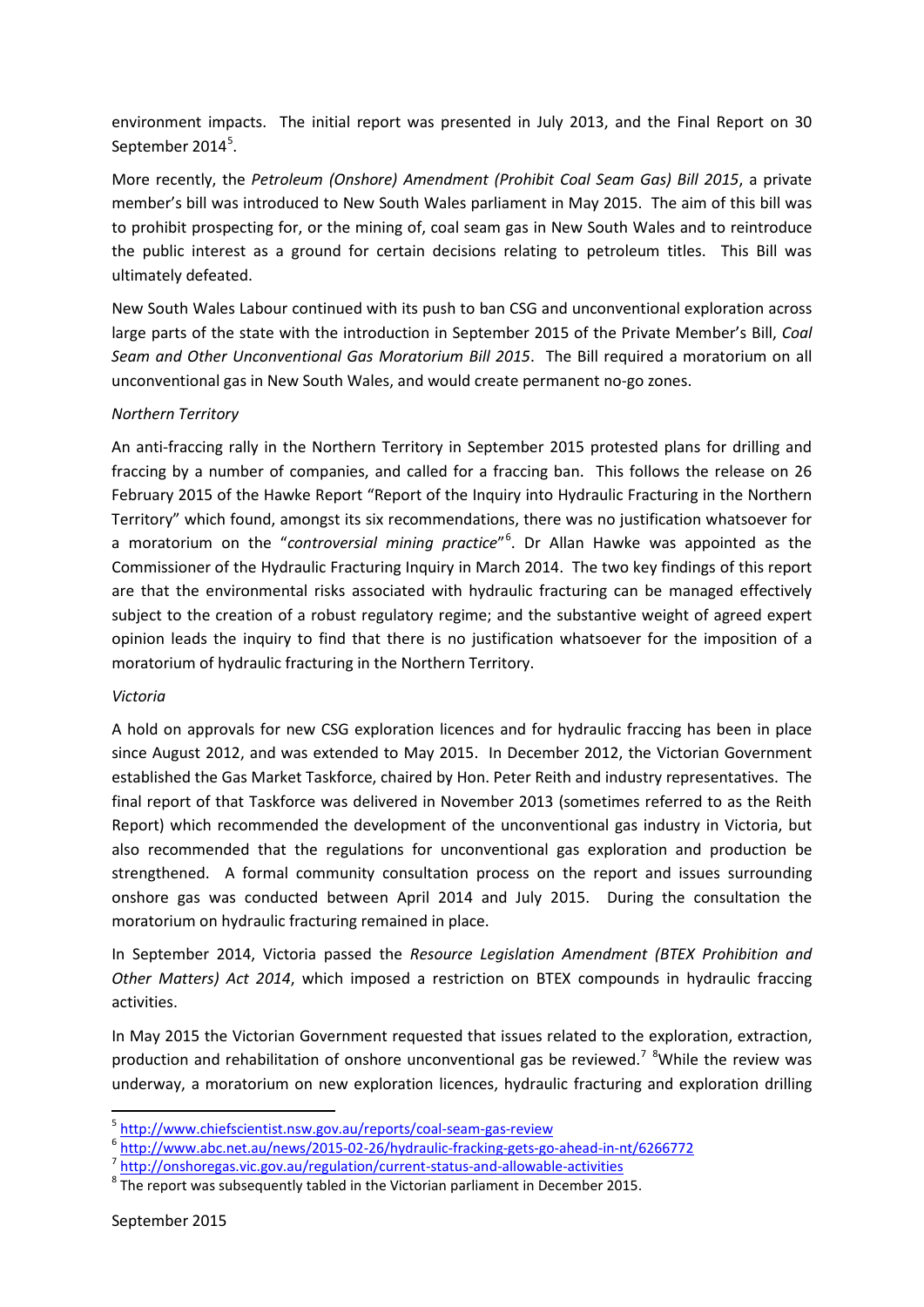environment impacts. The initial report was presented in July 2013, and the Final Report on 30 September 2014<sup>5</sup>.

More recently, the *Petroleum (Onshore) Amendment (Prohibit Coal Seam Gas) Bill 2015*, a private member's bill was introduced to New South Wales parliament in May 2015. The aim of this bill was to prohibit prospecting for, or the mining of, coal seam gas in New South Wales and to reintroduce the public interest as a ground for certain decisions relating to petroleum titles. This Bill was ultimately defeated.

New South Wales Labour continued with its push to ban CSG and unconventional exploration across large parts of the state with the introduction in September 2015 of the Private Member's Bill, *Coal Seam and Other Unconventional Gas Moratorium Bill 2015*. The Bill required a moratorium on all unconventional gas in New South Wales, and would create permanent no-go zones.

## *Northern Territory*

An anti-fraccing rally in the Northern Territory in September 2015 protested plans for drilling and fraccing by a number of companies, and called for a fraccing ban. This follows the release on 26 February 2015 of the Hawke Report "Report of the Inquiry into Hydraulic Fracturing in the Northern Territory" which found, amongst its six recommendations, there was no justification whatsoever for a moratorium on the "*controversial mining practice*"<sup>6</sup> . Dr Allan Hawke was appointed as the Commissioner of the Hydraulic Fracturing Inquiry in March 2014. The two key findings of this report are that the environmental risks associated with hydraulic fracturing can be managed effectively subject to the creation of a robust regulatory regime; and the substantive weight of agreed expert opinion leads the inquiry to find that there is no justification whatsoever for the imposition of a moratorium of hydraulic fracturing in the Northern Territory.

## *Victoria*

A hold on approvals for new CSG exploration licences and for hydraulic fraccing has been in place since August 2012, and was extended to May 2015. In December 2012, the Victorian Government established the Gas Market Taskforce, chaired by Hon. Peter Reith and industry representatives. The final report of that Taskforce was delivered in November 2013 (sometimes referred to as the Reith Report) which recommended the development of the unconventional gas industry in Victoria, but also recommended that the regulations for unconventional gas exploration and production be strengthened. A formal community consultation process on the report and issues surrounding onshore gas was conducted between April 2014 and July 2015. During the consultation the moratorium on hydraulic fracturing remained in place.

In September 2014, Victoria passed the *Resource Legislation Amendment (BTEX Prohibition and Other Matters) Act 2014*, which imposed a restriction on BTEX compounds in hydraulic fraccing activities.

In May 2015 the Victorian Government requested that issues related to the exploration, extraction, production and rehabilitation of onshore unconventional gas be reviewed.<sup>7</sup> <sup>8</sup>While the review was underway, a moratorium on new exploration licences, hydraulic fracturing and exploration drilling

 $\frac{1}{2} \frac{http://www.chiefscientist.nsw.gov.au/reports/coal-seam-gas-review}{http://www.abc.net.au/news/2015-02-26/hydroulic-fracking-gets-go-ahead-in-nt/6266772} \times \frac{http://www.abc.net.au/news/2015-02-26/hydroulic-fracking-gets-go-ahead-in-nt/6266772} \times \frac{http://onshoregas.vic.gov.au/regulation/current-status-and-allowable-activities}{\frac{1}{2} \cdot \text{The report was subsequently tabled in the Victoria parliament in December 2015}.}$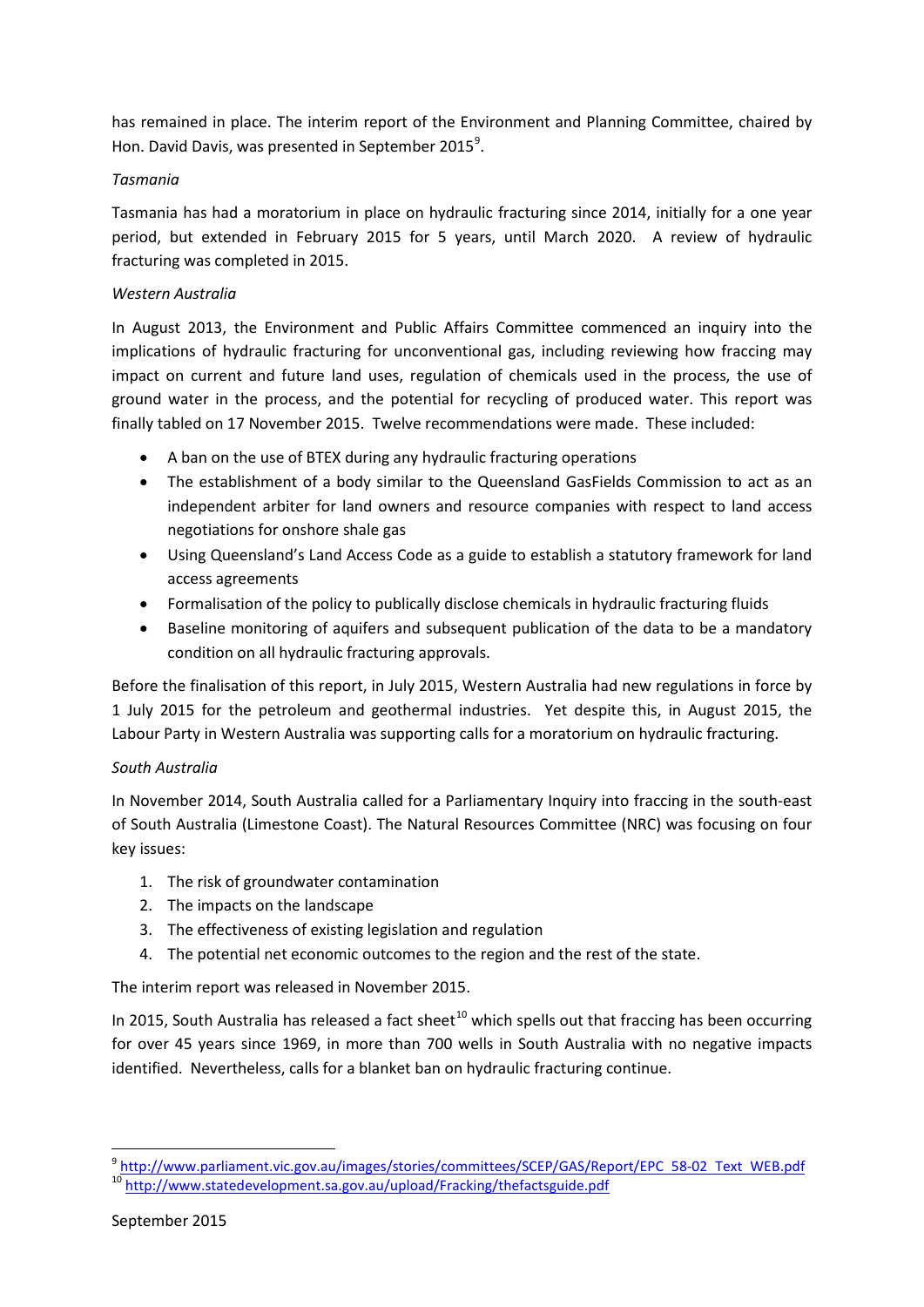has remained in place. The interim report of the Environment and Planning Committee, chaired by Hon. David Davis, was presented in September 2015<sup>9</sup>.

## *Tasmania*

Tasmania has had a moratorium in place on hydraulic fracturing since 2014, initially for a one year period, but extended in February 2015 for 5 years, until March 2020. A review of hydraulic fracturing was completed in 2015.

# *Western Australia*

In August 2013, the Environment and Public Affairs Committee commenced an inquiry into the implications of hydraulic fracturing for unconventional gas, including reviewing how fraccing may impact on current and future land uses, regulation of chemicals used in the process, the use of ground water in the process, and the potential for recycling of produced water. This report was finally tabled on 17 November 2015. Twelve recommendations were made. These included:

- A ban on the use of BTEX during any hydraulic fracturing operations
- The establishment of a body similar to the Queensland GasFields Commission to act as an independent arbiter for land owners and resource companies with respect to land access negotiations for onshore shale gas
- Using Queensland's Land Access Code as a guide to establish a statutory framework for land access agreements
- Formalisation of the policy to publically disclose chemicals in hydraulic fracturing fluids
- Baseline monitoring of aquifers and subsequent publication of the data to be a mandatory condition on all hydraulic fracturing approvals.

Before the finalisation of this report, in July 2015, Western Australia had new regulations in force by 1 July 2015 for the petroleum and geothermal industries. Yet despite this, in August 2015, the Labour Party in Western Australia was supporting calls for a moratorium on hydraulic fracturing.

## *South Australia*

In November 2014, South Australia called for a Parliamentary Inquiry into fraccing in the south-east of South Australia (Limestone Coast). The Natural Resources Committee (NRC) was focusing on four key issues:

- 1. The risk of groundwater contamination
- 2. The impacts on the landscape
- 3. The effectiveness of existing legislation and regulation
- 4. The potential net economic outcomes to the region and the rest of the state.

The interim report was released in November 2015.

In 2015, South Australia has released a fact sheet<sup>10</sup> which spells out that fraccing has been occurring for over 45 years since 1969, in more than 700 wells in South Australia with no negative impacts identified. Nevertheless, calls for a blanket ban on hydraulic fracturing continue.

 $\overline{a}$ 

<sup>&</sup>lt;sup>9</sup> http://www.parliament.vic.gov.au/images/stories/committees/SCEP/GAS/Report/EPC 58-02 Text WEB.pdf<br><sup>10</sup> http://www.statedevelopment.sa.gov.au/upload/Fracking/thefactsguide.pdf